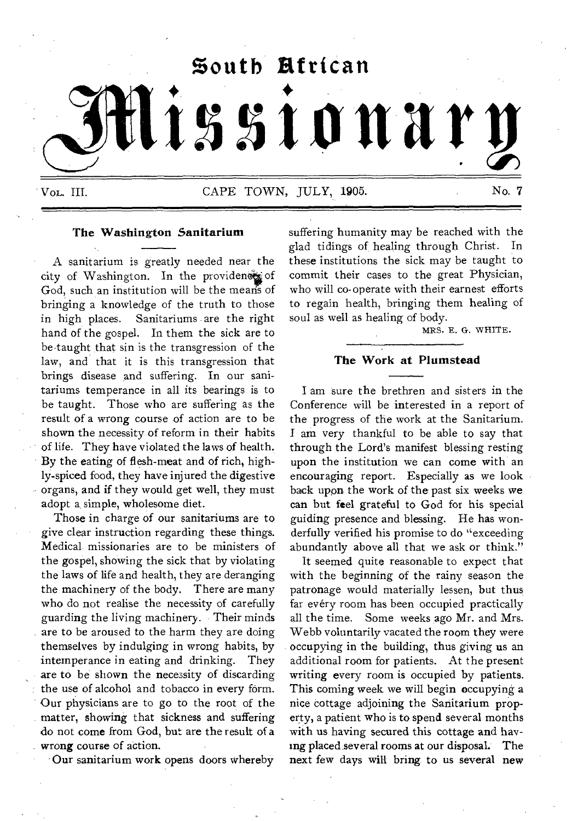

Vol. III. CAPE TOWN, JULY, 1905. No. 7.

# **The Washington Sanitarium**

A sanitarium is greatly needed near the city of Washington. In the providence of God, such an institution will be the means of bringing a knowledge of the truth to those<br>in high places. Sanitariums are the right Sanitariums are the right hand of the gospel. In them the sick are to be-taught that sin is the transgression of the law, and that it is this transgression that brings disease and suffering. In our sanitariums temperance in all its bearings is to be taught. Those who are suffering as the result of a wrong course of action are to be shown the necessity of reform in their habits of life. They have violated the laws of health. By the eating of flesh-meat and of rich, highly-spiced food, they have injured the digestive organs, and if they would get well, they must adopt a simple, wholesome diet.

Those in charge of our sanitariums are to give clear instruction regarding these things. Medical, missionaries are to be ministers of the gospel, showing the sick that by violating the laws of life and health, they are deranging the machinery of the body. There are many who do not realise the necessity of carefully guarding the living machinery. Their minds are to be aroused to the harm they are doing themselves by indulging in wrong habits, by intemperance in eating and drinking. They are to be shown the necessity of discarding the use of alcohol and tobacco in every form. Our physicians are to go to the root of the matter, showing that sickness and suffering do not come from God, but are the result of a wrong course of action.

Our sanitarium work opens doors whereby

suffering humanity may be reached with the glad tidings of healing through Christ. In these institutions the sick may be taught to commit their cases to the great Physician, who will co-operate with their earnest efforts to regain health, bringing them healing of soul as well as healing of body.

MRS. E. G. WHITE.

# **The Work at Plumstead**

I am sure the brethren and sisters in the Conference will be interested in a report of the progress of the work at the Sanitarium. I am very thankful to be able to say that through the Lord's manifest blessing resting upon the institution we can come with an encouraging report. Especially as we look back upon the work of the past six weeks we can but feel grateful to God for his special guiding presence and blessing. He has wonderfully verified his promise to do "exceeding abundantly above all that we ask or think."

It seemed quite reasonable to expect that with the beginning of the rainy season the patronage would materially lessen, but thus far evéry room has been occupied practically all the time. Some weeks ago Mr. and Mrs. Webb voluntarily vacated the room they were occupying in the building, thus giving us an additional room for patients. At the present writing every room is occupied by patients. This coming week we will begin occupying a nice cottage adjoining the Sanitarium property, a patient who is to spend several months with us having secured this cottage and having placed.several rooms at our disposal. The next few days will bring, to us several new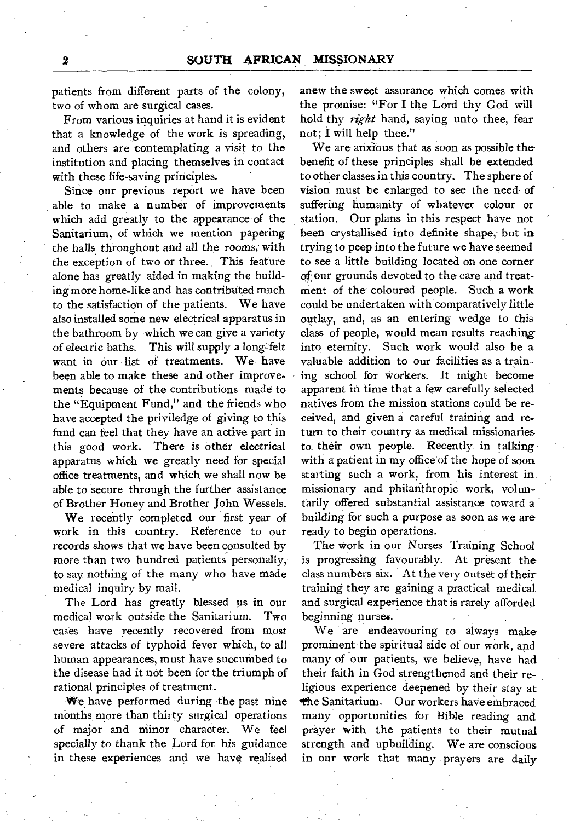patients from different parts of the colony, two of whom are surgical cases.

From various inquiries at hand it is evident that a knowledge of the work is spreading, and others are contemplating a visit to the institution and placing themselves in contact with these life-saving principles.

Since our previous report we have been able to make a number of improvements which add greatly to the appearance of the Sanitarium, of which we mention papering the halls throughout and all the rooms, with the exception of two or three. This feature alone has greatly aided in making the building more home-like and has contributed much to the satisfaction of the patients. We have also installed some new electrical apparatus in the bathroom by which we can give a variety of electric baths. This will supply a long-felt want in our list of treatments. We have been able to make these and other improvements because of the contributions made to the "Equipment Fund," and the friends who have accepted the priviledge of giving to this fund can feel that they have an active part in this good work. There is other electrical apparatus which we greatly need for special office treatments, and which we shall now be able to secure through the further assistance of Brother Honey and Brother John Wessels.

We recently completed our first year of work in this country. Reference to our records shows that we have been consulted by more than two hundred patients personally, to say nothing of the many who have made medical inquiry by mail.

The Lord has greatly blessed us in our medical work outside the Sanitarium. Two cases have recently recovered from most severe attacks of typhoid fever which, to all human appearances, must have succumbed to the disease had it not been for the triumph of rational principles of treatment.

We have performed during the past nine months, more than thirty surgical operations of major and minor character. We feel specially to thank the Lord for his guidance in these experiences and we have realised

anew the sweet assurance which comes with the promise: "For I the Lord thy God will hold thy *right* hand, saying unto thee, fear not; **I** will help thee."

We are anxious that as soon as possible the benefit of these principles shall be extended to other classes in this country. The sphere of vision must be enlarged to see the need of suffering humanity of whatever colour or station. Our plans in this respect have not been crystallised into definite shape, but in trying to peep into the future we have seemed to see a little building located on one corner of our grounds devoted to the- care and treatment of the coloured people. Such a work could be undertaken with comparatively little outlay, and, as an entering wedge to this class of people, would mean results reaching into eternity. Such work would also be a valuable addition to our facilities as a training school for workers. It might become apparent in time that a few carefully selected natives from the mission stations could be received, and given a careful training and return to their country as medical missionaries to their own people. Recently in talking with a patient in my office of the hope of soon starting such a work, from his interest in missionary and philanthropic work, voluntarily offered substantial assistance toward a building for such a purpose as soon as we are ready to begin operations.

The work in our Nurses Training School is progressing favourably. At present the class numbers six. At the very outset of their training they are gaining a practical medical and surgical experience that is rarely afforded *beginning* nurses.

We are endeavouring to always make prominent the spiritual side of our work, and many of our patients, we believe, have had. their faith in God strengthened and their religious experience deepened by their stay at the Sanitarium. Our workers have embraced many opportunities for Bible reading and prayer with the patients to their mutual strength and upbuilding. We are conscious in our work that many prayers are daily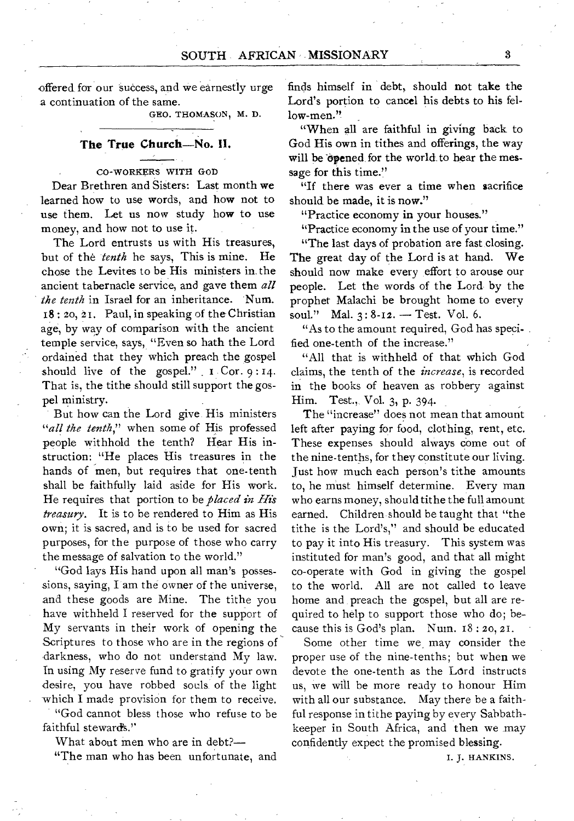offered for our success, and we earnestly urge a continuation of the same.

GEO. THOMASON, M. D.

# **The True Church—No. II.**

#### CO-WORKERS WITH GOD

Dear Brethren and Sisters: Last month **we**  learned how to use words, and how not to use them. Let us now study how to use money, and how not to use it.

The Lord entrusts us with His treasures, but of the *tenth* he says, This is mine. He chose the Levites to be His ministers in the ancient tabernacle service, and gave them *all the tenth* in Israel for an inheritance. Num. 18 : 2o, 21. Paul, in speaking of the Christian age, by way of comparison with the ancient temple service, says, "Even so hath the Lord ordained that they which preach the gospel should live of the gospel." I Cor. 9:14. That is, the tithe should still support the gospel ministry.

But how can the Lord give. His ministers *"all the tenth,"* when some of His professed people withhold the tenth? Hear His instruction: "He places His treasures in the hands of men, but requires that one-tenth shall be faithfully laid aside for His work. He requires that portion to be *placed in His treasury. It is* to be rendered to Him as His own; it is sacred, and is to be used for sacred purposes, for the purpose of those who carry the message of salvation to the world."

"God lays His hand upon all man's possessions, saying, **I** am the owner of the universe, and these goods are Mine. The tithe you have withheld I reserved for the support of My servants in their work of opening the Scriptures to those who are in the regions of darkness, who do not understand My law. In using My reserve fund to gratify your own desire, you have robbed souls of the light which I made provision for them to receive.

"God cannot bless those who refuse to be faithful stewards.''

What about men who are in debt?—

**"The** man who has been unfortunate, and

finds himself in debt, should not take the Lord's portion to cancel his debts to his fellow-men."

"When all are faithful in giving back to God His own in tithes and offerings, the way will be opened for the world to hear the message for this time."

"If there was ever a time when sacrifice should be made, it is now."

"Practice economy in your houses."

"Practice economy in the use of your time."

"The last days of probation are fast closing. The great day of the Lord is at hand. We should now make every effort to arouse our people. Let the words of the Lord by the prophet Malachi be brought home to every soul." Mal.  $3:8-12.$  - Test. Vol. 6.

"As to the amount required, God has speci-. fied one-tenth of the increase."

"All that is withheld of that which God claims, the tenth of the *increase,* is recorded in the books of heaven as robbery against Him. Test., Vol. 3, p. 394.

The "increase" does not mean that amount left after paying for food, clothing, rent, etc. These expenses should always come out of the nine-tenths, for they constitute our living. Just how much each person's tithe amounts to, he must himself determine. Every man who earns money, should tithe the full amount earned. Children should be taught that "the tithe is the Lord's," and should be educated to pay it into His treasury. This system was instituted for man's good, and that all might co-operate with God in giving the gospel to the world. All are not called to leave home and preach the gospel, but all are required to help to support those who do; because this is God's plan. Num. 18 : 2o, 21.

Some other time we, may consider the proper use of the nine-tenths; but when we devote the one-tenth as the Lard instructs us, we will be more ready to honour Him with all our substance. May there be a faithful response in tithe paying by every Sabbathkeeper in South Africa, and then we may confidently expect the promised blessing.

I. J. HANKINS.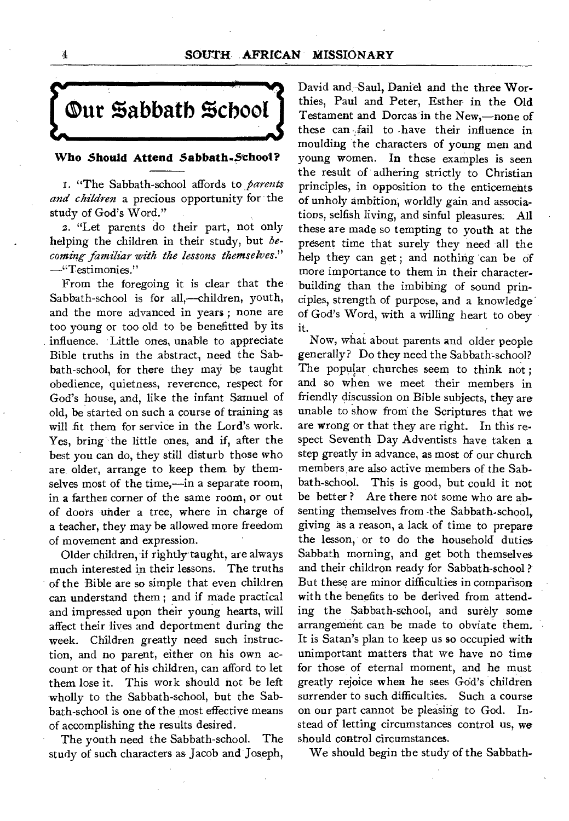

# **Who Should Attend Sabbath-School?**

I. "The Sabbath-school affords to *parents and children* a precious opportunity for the study of God's Word."

2. "Let parents do their part, not only helping the children in their study, but *becoming familiar with the lessons themselves."*  —"Testimonies."

From the foregoing it is clear that the Sabbath-school is for all,—children, youth, and the more advanced in years ; none are too young or too old to be benefitted by its influence. Little ones, unable to appreciate Bible truths in the abstract, need the Sabbath-school, for there they may be taught obedience, quietness, reverence, respect for God's house, and, like the infant Samuel of old, be started on such a course of training as will fit them for service in the Lord's work. Yes, bring the little ones, and if, after the best you can do, they still disturb those who are, older, arrange to keep them by themselves most of the time,—in a separate room, in a farther corner of the same room, or out of doors under a tree, where in charge of a teacher, they may be allowed more freedom of movement and expression.

Older children, if rightly- taught, are always much interested in their lessons. The truths of the Bible are so simple that even children can understand them ; and if made practical and impressed upon their young hearts, will affect their lives and deportment during the week. Children greatly need such instruction, and no parent, either on his own account or that of his children, can afford to let them lose it. This work should not be left wholly to the Sabbath-school, but the Sabbath-school is one of the most effective means of accomplishing the results desired.

The youth need the Sabbath-school. The study of such characters as Jacob and Joseph, David and. Saul, Daniel and the three Worthies, Paul and Peter, Esther in the Old Testament and Dorcas in the New,—none of these can fail to have their influence in moulding the characters of young men and young women. In these examples is seen the result of adhering strictly to Christian principles,, in opposition to the enticements of unholy ambition, worldly gain and associations, selfish living, and sinful pleasures. All these are made so tempting to youth at the present time that surely they need all the help they can get; and nothing can be of more importance to them in their characterbuilding than the imbibing of sound principles, strength of purpose, and a knowledge of God's Word, with a willing heart to obey it.

Now, what about parents and older people generally? Do they need the Sabbath-school? The popular churches seem to think not; and so when we meet their members in friendly discussion on Bible subjects, they are unable to show from the Scriptures that we are wrong or that they are right. In this respect Seventh Day Adventists have taken a step greatly in advance, as most of our church members, are also active members of the Sabbath-school. This is good, but could it not be better ? Are there not some who are absenting themselves from the Sabbath-school, giving as a reason, a lack of time to prepare the lesson, or to do the household duties Sabbath morning, and get both themselves and their childron ready for Sabbath-school ? But these are minor difficulties in comparison with the benefits to be derived from attending the Sabbath-school, and surely some arrangement can be made to obviate them. It is Satan's plan to keep us so occupied with unimportant matters that we have no time for those of eternal moment, and he must greatly rejoice when he sees God's children surrender to such difficulties. Such a course on our part cannot be pleasing to God. Instead of letting circumstances control us, we should control circumstances.

We should begin the study of the Sabbath-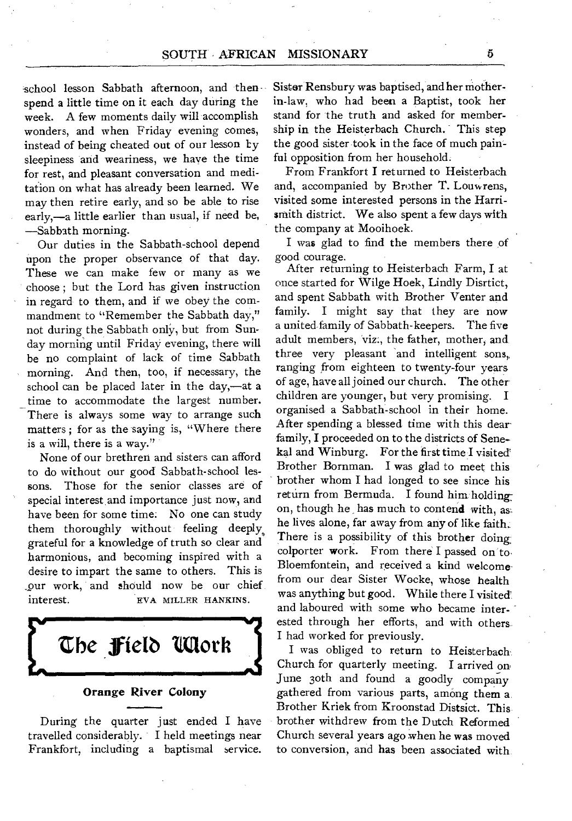# SOUTH • AFRICAN MISSIONARY

-school lesson Sabbath afternoon, and then spend a little time on it each day during the week. A few moments daily will accomplish wonders, and when Friday evening comes, instead of being cheated out of our lesson Ly sleepiness and weariness, we have the time for rest, and pleasant conversation and meditation on what has already been learned. We may then retire early, and so be able to rise early,—a little earlier than usual, if need be, —Sabbath morning.

Our duties in the Sabbath-school depend upon the proper observance of that day. These we can make few or many as we choose ; but the Lord has given instruction in regard to them, and if we obey the commandment to "Remember the Sabbath day," not during the Sabbath only, but from Sunday morning until Friday evening, there will be no complaint of lack of time Sabbath morning. And then, too, if necessary, the school can be placed later in the day,—at a time to accommodate the largest number. There is always some way to arrange such matters ; for as the saying is, "Where there is a will, there is a way."

None of our brethren and sisters can afford to do without our good Sabbath-school lessons. Those for the senior classes are of special interest and importance just now, and have been for some time. No one can study them thoroughly without feeling deeply, grateful for a knowledge of truth so clear and harmonious, and becoming inspired with a desire to impart the same to others. This is our work, and should now be our chief. interest. EVA MILLER HANKINS.

**the Pelt) 'Moth Orange River Colony** 

During the quarter just ended I have travelled considerably. I held meetings near Frankfort, including a baptismal service. Sister Rensbury was baptised, and her motherin-law, who had been a Baptist, took her stand for the truth and asked for membership in the Heisterbach Church. This step the good sister took in the face of much painful opposition from her household.

From Frankfort **I** returned to Heisterbach and, accompanied by Brother T. Louwrens, visited some interested persons in the Harrismith district. We also spent a few days with the company at Mooihoek.

I was glad to find the members there of good courage.

After returning to Heisterbach Farm, **I** at once started for Wilge Hoek, Lindly Disrtict, and spent Sabbath with Brother Venter and family. I might say that they are now a united family of Sabbath-keepers. The five adult members, viz., the father, mother, and three very pleasant and intelligent sons, ranging from eighteen to twenty-four years of age, have all joined our church. The other children are younger, but very promising. I organised a Sabbath-school in their home. After spending a blessed time with this dear family, **I** proceeded on to the districts of Senekal and Winburg. For the first time I visited' Brother Bornman. I was glad to meet this brother whom I had longed to see since his return from Bermuda. I found him holdingon, though he, has much to contend with, as: he lives alone, far away from any of like faith.. There is a possibility of this brother doing colporter work. From there I passed on to-Bloemfontein, and received a kind welcomefrom our dear Sister Wocke, whose health was anything but good. While there I visited and laboured with some who became interested through her efforts, and with others I had worked for previously.

I was obliged to return to Heisterbach. Church for quarterly meeting. I arrived on June 30th and found a goodly company gathered from various parts, among them a Brother Kriek from Kroonstad Distsict. This brother withdrew from the Dutch Reformed Church several years ago when he was moved to conversion, and has been associated with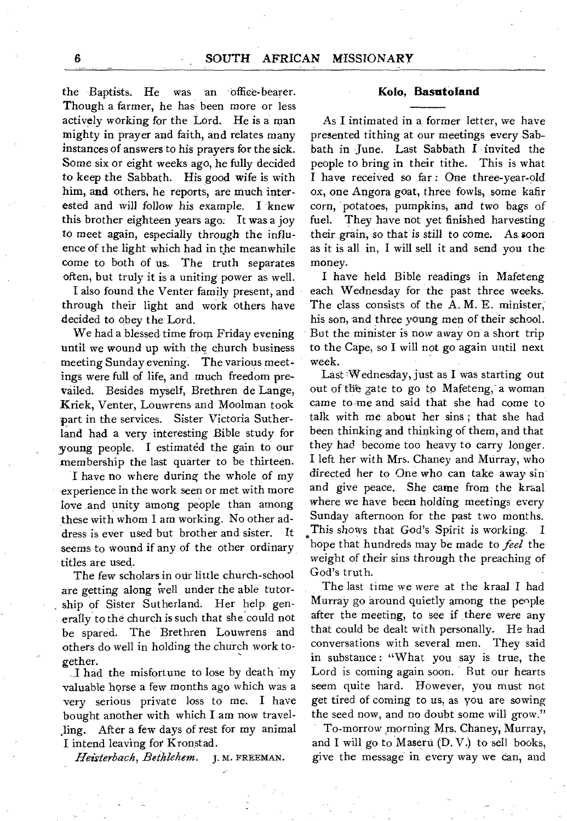the Baptists. He was an office-bearer. Though a farmer, he has been more or less actively working for the Lord. He is a man mighty in prayer and faith, and relates many instances of answers to his prayers for the sick. Some six or eight weeks ago, he fully decided to keep the Sabbath. His good wife is with him, and others, he reports, are much interested and will follow his example. I knew this brother eighteen years ago. It was a joy to meet again, especially through the influence of the light which had in the meanwhile come to both of us. The truth separates often, but truly it is a uniting power as well.

I also found the Venter family present, and through their light and work others have decided to obey the Lord.

We had a blessed time from Friday evening until we wound up with the church business meeting Sunday evening. The various meetings were full of life, and much freedom prevailed. Besides myself, Brethren de Lange, Kriek, Venter, Louwrens and Moolman took part in the services. Sister Victoria Sutherland had a very interesting Bible study for young people. I estimated the gain to our membership the last quarter to be thirteen.

I have no where during the whole of my experience in the work seen or met with more love and unity among people than among these with whom I am working. No other address is ever used but brother and sister. It seems to wound if any of the other ordinary titles are used.

The few scholars in our little church-school are getting along well under the able tutorship of Sister Sutherland. Her help, generally to the church is such that she could not be spared. The Brethren Louwrens and others do well in holding the church work together.

I had the misfortune to lose by death my valuable horse a few months ago which was a very serious private loss to me. I have bought another with which I am now travel-1ing. After a few days of rest for my animal I intend leaving for Kronstad.

*Heisterbach, Bethlehem. J.* M. FREEMAN.

#### **Kolo, Basutoland**

As I intimated in a former letter, we have presented tithing at our meetings every Sabbath in June. Last Sabbath I invited the people to bring in their tithe. This is what I have received so far : One three-year-old ox, one Angora goat, three fowls, some kafir corn, potatoes, pumpkins, and two bags of fuel. They have not yet finished harvesting their grain, so that *is* still to come. As soon as it is all in, I will sell it and send you the money.

I have held Bible readings in Mafeteng each Wednesday for the past three weeks. The class consists of the A. M. E. minister, his son, and three young men of their school. But the minister is now away on a short trip to the Cape, so I will not go again until next week.

Last Wednesday, just as I was starting out out of the gate to go **to** Mafeteng, a woman came to me and said that she had come to talk with me about her sins ; that she had been thinking and thinking of them, and that they had become too heavy to carry longer. I left her with Mrs. Chaney and Murray, who directed her to One who can take away sin and give peace. She came from the kraal where we have been holding meetings every Sunday afternoon for the past two months. This shows that God's Spirit is working. I hope that hundreds may be made to *feel* the weight of their sins through the preaching of God's truth.

The last time we were at the kraal I had Murray go around quietly among the people after the meeting, to see if there were any that could be dealt with personally. He had conversations with several men. They said in substance : "What you say is true, the Lord is coming again soon. But our hearts seem quite hard. However, you must not get tired of coming to us, as you are sowing the seed now, and no doubt some will grow."

To-morrow morning Mrs. Chaney, Murray, and I will go to Maseru (D. V.) to sell books, give the message in every way we can, and

6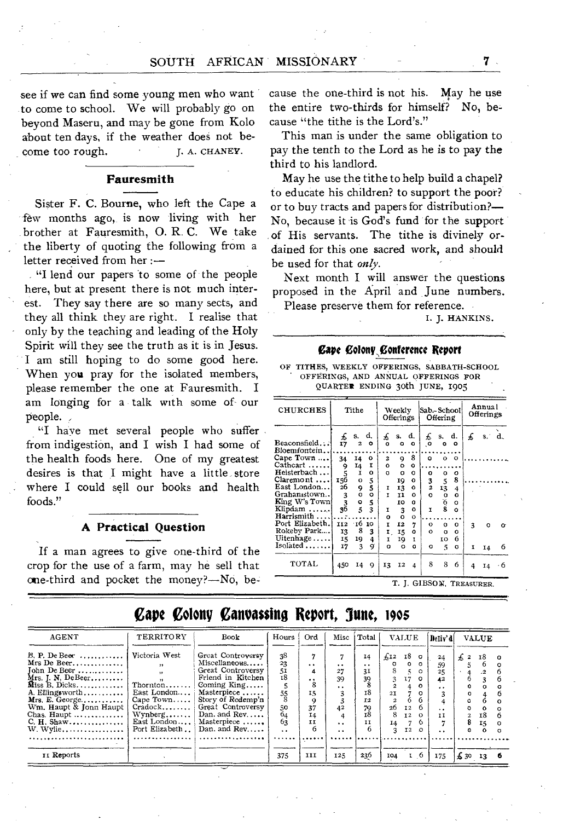see if we can find some young men who want to come to school. We will probably go on beyond Maseru, and may be gone from Kolo about ten days, if the weather does not become too rough. J. A. CHANEY.

#### **Fauresmith**

Sister F. C. Bourne, who left the Cape a few months ago, is now living with her brother at Fauresmith, 0. R. C. We take the liberty of quoting the following from a letter received from her :—

"I lend our papers 'to some of the people here, but at present there is not much interest. They say there are so many sects, and they all think they are right. I realise that only by the teaching and leading of the Holy Spirit will they see the truth as it is in Jesus. I am still hoping to do some good here. When you pray for the isolated members, please remember the one at Fauresmith. I am longing for a talk with some of our people.

"I have met several people who suffer from indigestion, and I wish I had some of the health foods here. One of my greatest desires is that I might have a little store where I could sell our books and health foods."

#### **A Practical Question**

If a man agrees to give one-third of the crop for the use of a farm, may he sell that one-third and pocket the money?—No, because the one-third is not his. May he use the entire two-thirds for himself? No, because "the tithe is the Lord's."

This man is under the same obligation to pay the tenth to the Lord as he is to pay the third to his landlord.

May he use the tithe to help build a chapel? to educate his children? to support the poor? or to buy tracts and papers for distribution?— No, because it is God's fund for the support of His servants. The tithe is divinely ordained for this one sacred work, and should be used for that *only.* 

Next month I will answer the questions proposed in the April and June numbers. Please preserve them for reference.

1. J. HANKINS.

### *Cape Colony Conference Report*

OF TITHES, WEEKLY OFFERINGS, SABBATH-SCHOOL OFFERINGS, AND ANNUAL OFFERINGS FOR QUARTER ENDING 30th JUNE, 1905

| <b>CHURCHES</b>              |                                             | Tithe               |               |               | Weekly<br>Offerings |                        | Sab.- School | Offering      |                     | Annual<br>Offerings |    |       |  |
|------------------------------|---------------------------------------------|---------------------|---------------|---------------|---------------------|------------------------|--------------|---------------|---------------------|---------------------|----|-------|--|
| Beaconsfield                 | £<br>17                                     | s.<br>2             | d.<br>۰       | £<br>o        | s.<br>$\circ$       | d.<br>$\Omega$         | £<br>.o      | s.<br>۰       | d.<br>$\circ$       | £                   |    | s. d. |  |
| Bloemfontein<br>Cape Town    | 34                                          | 14                  | $\circ$       | $\mathbf{z}$  | 9                   | 8                      | $\Omega$     | $\circ$       | $\Omega$            |                     |    |       |  |
| Cathcart<br>Heisterbach      | 9<br>$\frac{5}{156}$                        | 14<br>Ι.            | I<br>۰        | o<br>$\Omega$ | $\circ$<br>o        | $\mathbf o$<br>$\circ$ | o            | ۰             | o                   |                     |    |       |  |
| Claremont<br>East London     | 26                                          | $\mathbf{o}$<br>9   | 5<br>5        | Ι             | 19<br>13            | $\circ$<br>$\Omega$    | 3<br>2       | 5<br>13       | 8<br>4              |                     |    |       |  |
| Grahamstown<br>King W's Town | $\begin{array}{c} 3 \\ 3 \\ 36 \end{array}$ | $\alpha$<br>$\circ$ | $\circ$       | Ŧ             | ٢ĭ<br>IO            | $\Omega$<br>o          | $\Omega$     | o             | $\Omega$<br>$\circ$ |                     |    |       |  |
| Klipdam<br>Harrismith        |                                             | 5                   | $\frac{5}{3}$ | ĭ             | 3                   | $\mathbf{o}$           | ĭ.           | $\frac{6}{8}$ | $\Omega$            |                     |    |       |  |
| Port Elizabeth.              | II2                                         | ∙тб                 | 10            | o<br>Ŧ        | O<br>12             | $\circ$<br>7           | $\Omega$     | o             | o                   | 3                   | o  | o     |  |
| Rokeby Park<br>Uitenhage     | 13<br>15                                    | 8<br>19             | 3<br>4        | Ι.<br>ĭ       | 15<br>19            | o<br>I.                | $\Omega$     | o<br>10       | $\Omega$<br>6       |                     |    |       |  |
| $Isolated \dots \dots$       | 17                                          | 3                   | q             | $\Omega$      | o.                  | o                      | o            | 5             | $\Omega$            | I                   | 14 | 6     |  |
| TOTAL                        | 450                                         | 14                  | 9             | 13            | 12                  | 4                      | 8            | 8             | 6                   | 4                   | 14 | - 6   |  |

# Cape Colony Canvassing Report, June, 1905

| <b>AGENT</b>                                                                                                                                                                                                              | TERRITORY                                                                                                               | Book                                                                                                                                                                                                     | Hours                                                                                 | Ord                                                                                           | Misc                                                                                         | Total                                               |                                                                           | <b>VALUE</b>                                           |                                                                                      | Detiv' d                                                                            |                                    | <b>VALUE</b>                             |              |
|---------------------------------------------------------------------------------------------------------------------------------------------------------------------------------------------------------------------------|-------------------------------------------------------------------------------------------------------------------------|----------------------------------------------------------------------------------------------------------------------------------------------------------------------------------------------------------|---------------------------------------------------------------------------------------|-----------------------------------------------------------------------------------------------|----------------------------------------------------------------------------------------------|-----------------------------------------------------|---------------------------------------------------------------------------|--------------------------------------------------------|--------------------------------------------------------------------------------------|-------------------------------------------------------------------------------------|------------------------------------|------------------------------------------|--------------|
| $B, P.$ De Beer<br>Mrs De Beer<br>$John$ De Beer<br>$Mrs.$ J. N, DeBeer<br>$M$ iss B. Dicks<br>A. Ellingsworth<br>$Mrs. E. George \ldots$<br>Wm. Haupt & Jonn Haupt<br>Chas. Haupt $\ldots$<br>C. H. Shaw<br>W. Wylie<br> | Victoria West<br>Thornton<br>East London<br>Cape Town $\ldots$<br>$Cradock$<br>Wynberg<br>East London<br>Port Elizabeth | Great Controversy<br>Miscellaneous<br>Great Controversy<br>Friend in Kitchen<br>Coming $King$<br>Masterpiece<br>Story of Redemp'n<br>Great Controversy<br>Dan. and Rev.<br>Masterpiece<br>Dan. and $Rev$ | 38<br>23<br>51<br>τ8<br>$\frac{55}{8}$<br>50<br>64<br>63<br>$\ddot{\phantom{0}}$<br>. | 7<br>$\ddot{\phantom{1}}$<br>4<br>$\ddot{\phantom{a}}$<br>8<br>15<br>9<br>37<br>14<br>ĪĪ<br>б | $\cdot \cdot$<br>27<br>39<br>$\ddot{\phantom{1}}$<br>42<br>$\ddot{\phantom{0}}$<br>$\cdot$ . | 14<br>. .<br>31<br>39<br>18<br>I2<br>79<br>τ8<br>11 | $f_{12}$<br>o<br>3<br>21<br>,<br>26<br>8<br>14<br>$\overline{\mathbf{a}}$ | 18 o<br>$^{\circ}$<br>17<br>12<br>12<br>I <sub>2</sub> | $^{\circ}$<br>$\circ$<br>$\Omega$<br>$\circ$<br>o<br>6.<br>$\Omega$<br>o<br>$\Omega$ | 24<br>59<br>25<br>42<br>$\bullet$<br>$\ddot{\phantom{0}}$<br>11<br>$\ddot{\bullet}$ | $\pounds$ 2<br>$\overline{a}$<br>a | 18<br>$\mathbf{r}$<br>3<br>18<br>15<br>o | $\mathbf{r}$ |
| II Reports                                                                                                                                                                                                                |                                                                                                                         |                                                                                                                                                                                                          | 375                                                                                   | III                                                                                           | 125                                                                                          | 236                                                 | 104                                                                       | $\mathbf{I}$                                           | -6                                                                                   | 175                                                                                 | $\frac{1}{2}30$ 13                 |                                          |              |